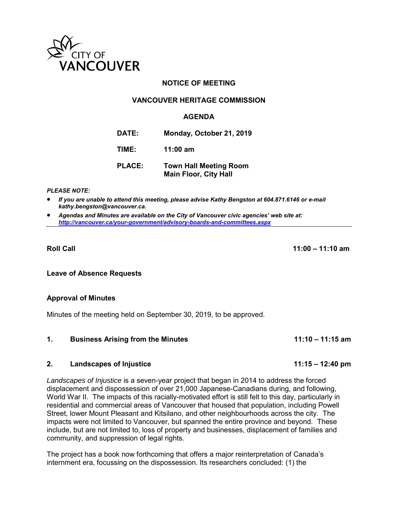

# **NOTICE OF MEETING**

## **VANCOUVER HERITAGE COMMISSION**

## **AGENDA**

**DATE: Monday, October 21, 2019**

**TIME: 11:00 am**

| <b>PLACE:</b> | <b>Town Hall Meeting Room</b> |
|---------------|-------------------------------|
|               | <b>Main Floor, City Hall</b>  |

#### *PLEASE NOTE:*

 *If you are unable to attend this meeting, please advise Kathy Bengston at 604.871.6146 or e-mail kathy.bengston@vancouver.ca.* 

 *Agendas and Minutes are available on the City of Vancouver civic agencies' web site at: <http://vancouver.ca/your-government/advisory-boards-and-committees.aspx>*

**Roll Call 11:00 – 11:10 am**

**Leave of Absence Requests** 

#### **Approval of Minutes**

Minutes of the meeting held on September 30, 2019, to be approved.

#### **1. Business Arising from the Minutes 11:10 – 11:15 am**

## **2. Landscapes of Injustice 11:15 – 12:40 pm**

*Landscapes of Injustice* is a seven-year project that began in 2014 to address the forced displacement and dispossession of over 21,000 Japanese-Canadians during, and following, World War II. The impacts of this racially-motivated effort is still felt to this day, particularly in residential and commercial areas of Vancouver that housed that population, including Powell Street, lower Mount Pleasant and Kitsilano, and other neighbourhoods across the city. The impacts were not limited to Vancouver, but spanned the entire province and beyond. These include, but are not limited to, loss of property and businesses, displacement of families and community, and suppression of legal rights.

The project has a book now forthcoming that offers a major reinterpretation of Canada's internment era, focussing on the dispossession. Its researchers concluded: (1) the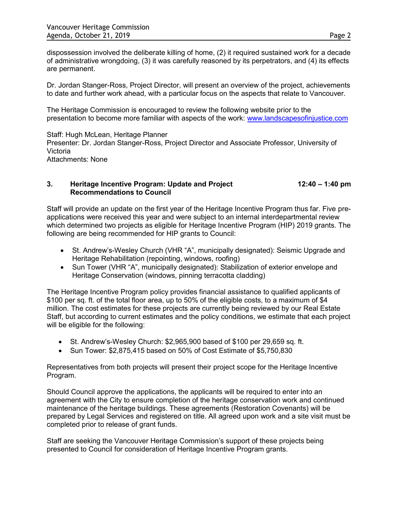dispossession involved the deliberate killing of home, (2) it required sustained work for a decade of administrative wrongdoing, (3) it was carefully reasoned by its perpetrators, and (4) its effects are permanent.

Dr. Jordan Stanger-Ross, Project Director, will present an overview of the project, achievements to date and further work ahead, with a particular focus on the aspects that relate to Vancouver.

The Heritage Commission is encouraged to review the following website prior to the presentation to become more familiar with aspects of the work: [www.landscapesofinjustice.com](http://www.landscapesofinjustice.com/)

Staff: Hugh McLean, Heritage Planner Presenter: Dr. Jordan Stanger-Ross, Project Director and Associate Professor, University of Victoria Attachments: None

### **3.** Heritage Incentive Program: Update and Project 12:40 – 1:40 pm  **Recommendations to Council**

Staff will provide an update on the first year of the Heritage Incentive Program thus far. Five preapplications were received this year and were subject to an internal interdepartmental review which determined two projects as eligible for Heritage Incentive Program (HIP) 2019 grants. The following are being recommended for HIP grants to Council:

- St. Andrew's-Wesley Church (VHR "A", municipally designated): Seismic Upgrade and Heritage Rehabilitation (repointing, windows, roofing)
- Sun Tower (VHR "A", municipally designated): Stabilization of exterior envelope and Heritage Conservation (windows, pinning terracotta cladding)

The Heritage Incentive Program policy provides financial assistance to qualified applicants of \$100 per sq. ft. of the total floor area, up to 50% of the eligible costs, to a maximum of \$4 million. The cost estimates for these projects are currently being reviewed by our Real Estate Staff, but according to current estimates and the policy conditions, we estimate that each project will be eligible for the following:

- St. Andrew's-Wesley Church: \$2,965,900 based of \$100 per 29,659 sq. ft.
- Sun Tower: \$2,875,415 based on 50% of Cost Estimate of \$5,750,830

Representatives from both projects will present their project scope for the Heritage Incentive Program.

Should Council approve the applications, the applicants will be required to enter into an agreement with the City to ensure completion of the heritage conservation work and continued maintenance of the heritage buildings. These agreements (Restoration Covenants) will be prepared by Legal Services and registered on title. All agreed upon work and a site visit must be completed prior to release of grant funds.

Staff are seeking the Vancouver Heritage Commission's support of these projects being presented to Council for consideration of Heritage Incentive Program grants.